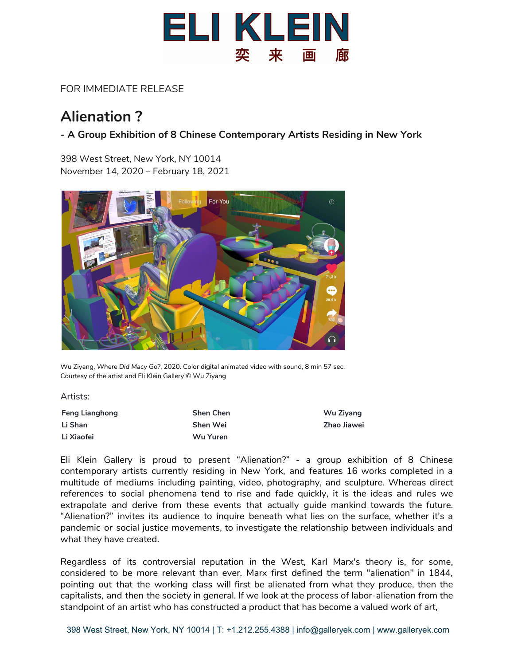

## FOR IMMEDIATE RELEASE

## **Alienation ?**

## **- A Group Exhibition of 8 Chinese Contemporary Artists Residing in New York**

398 West Street, New York, NY 10014 November 14, 2020 – February 18, 2021



Wu Ziyang, *Where Did Macy Go?*, 2020. Color digital animated video with sound, 8 min 57 sec. Courtesy of the artist and Eli Klein Gallery © Wu Ziyang

Artists:

| <b>Feng Lianghong</b> | <b>Shen Chen</b> | Wu Ziyang   |
|-----------------------|------------------|-------------|
| Li Shan               | Shen Wei         | Zhao Jiawei |
| Li Xiaofei            | Wu Yuren         |             |

Eli Klein Gallery is proud to present "Alienation?" - a group exhibition of 8 Chinese contemporary artists currently residing in New York, and features 16 works completed in a multitude of mediums including painting, video, photography, and sculpture. Whereas direct references to social phenomena tend to rise and fade quickly, it is the ideas and rules we extrapolate and derive from these events that actually guide mankind towards the future. "Alienation?" invites its audience to inquire beneath what lies on the surface, whether it's a pandemic or social justice movements, to investigate the relationship between individuals and what they have created.

Regardless of its controversial reputation in the West, Karl Marx's theory is, for some, considered to be more relevant than ever. Marx first defined the term "alienation" in 1844, pointing out that the working class will first be alienated from what they produce, then the capitalists, and then the society in general. If we look at the process of labor-alienation from the standpoint of an artist who has constructed a product that has become a valued work of art,